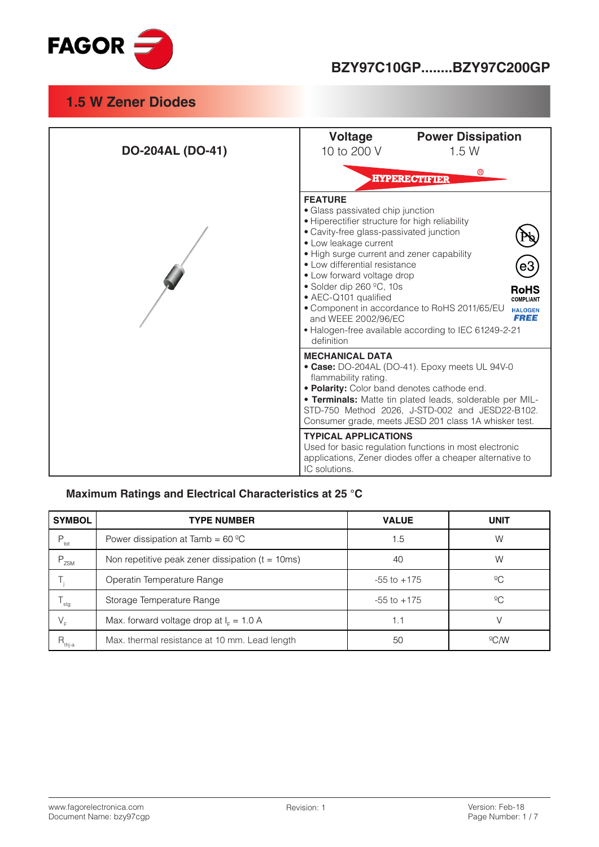

| <b>DO-204AL (DO-41)</b> | <b>Power Dissipation</b><br>Voltage<br>10 to 200 V<br>1.5W                                                                                                                                                                                                                                                                                                                                                                                                                                                                                                   |  |  |
|-------------------------|--------------------------------------------------------------------------------------------------------------------------------------------------------------------------------------------------------------------------------------------------------------------------------------------------------------------------------------------------------------------------------------------------------------------------------------------------------------------------------------------------------------------------------------------------------------|--|--|
|                         | ®<br><b>HYPERECTIFIER</b>                                                                                                                                                                                                                                                                                                                                                                                                                                                                                                                                    |  |  |
|                         | <b>FEATURE</b><br>• Glass passivated chip junction<br>· Hiperectifier structure for high reliability<br>· Cavity-free glass-passivated junction<br>• Low leakage current<br>• High surge current and zener capability<br>• Low differential resistance<br>• Low forward voltage drop<br>• Solder dip 260 $°C$ , 10s<br><b>RoHS</b><br>• AEC-Q101 qualified<br><b>COMPLIANT</b><br>• Component in accordance to RoHS 2011/65/EU<br><b>HALOGEN</b><br><b>FREE</b><br>and WEEE 2002/96/EC<br>• Halogen-free available according to IEC 61249-2-21<br>definition |  |  |
|                         | <b>MECHANICAL DATA</b><br>• Case: DO-204AL (DO-41). Epoxy meets UL 94V-0<br>flammability rating.<br>. Polarity: Color band denotes cathode end.<br>. Terminals: Matte tin plated leads, solderable per MIL-<br>STD-750 Method 2026, J-STD-002 and JESD22-B102.<br>Consumer grade, meets JESD 201 class 1A whisker test.                                                                                                                                                                                                                                      |  |  |
|                         | <b>TYPICAL APPLICATIONS</b><br>Used for basic regulation functions in most electronic<br>applications, Zener diodes offer a cheaper alternative to<br>IC solutions.                                                                                                                                                                                                                                                                                                                                                                                          |  |  |

#### **Maximum Ratings and Electrical Characteristics at 25 °C**

| <b>SYMBOL</b>    | <b>TYPE NUMBER</b>                                   | <b>VALUE</b>    | <b>UNIT</b>    |
|------------------|------------------------------------------------------|-----------------|----------------|
| $P_{\text{tot}}$ | Power dissipation at Tamb = $60^{\circ}$ C           | 1.5             | W              |
| P<br>ZSM         | Non repetitive peak zener dissipation ( $t = 10$ ms) | 40              | W              |
|                  | Operatin Temperature Range                           | $-55$ to $+175$ | $^{\circ}C$    |
| stg              | Storage Temperature Range                            | $-55$ to $+175$ | $^{\circ}C$    |
| V <sub>E</sub>   | Max. forward voltage drop at $IF = 1.0 A$            | 1.1             |                |
| $R_{\rm thj-a}$  | Max. thermal resistance at 10 mm. Lead length        | 50              | $^{\circ}$ C/W |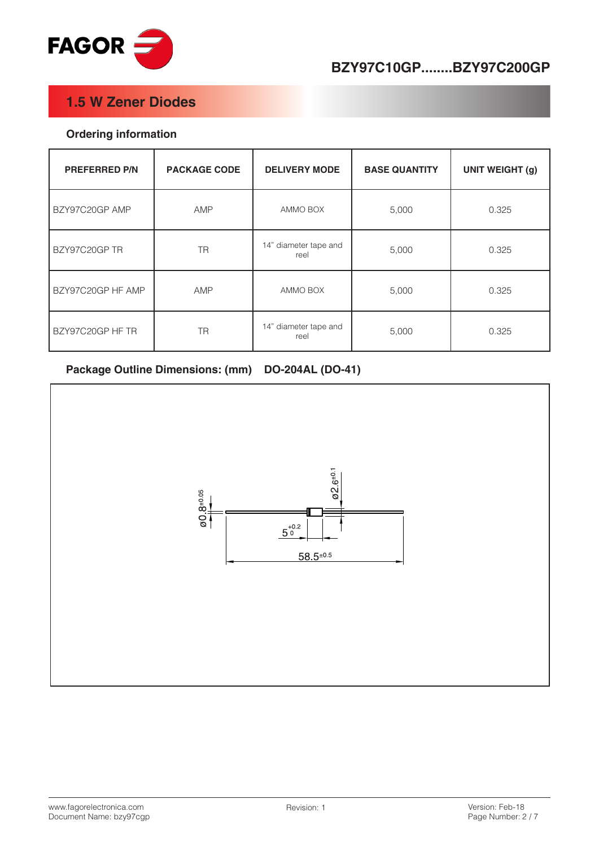

# **BZY97C10GP........BZY97C200GP**

#### **1.5 W Zener Diodes**

#### **Ordering information**

| <b>PREFERRED P/N</b> | <b>PACKAGE CODE</b> | <b>DELIVERY MODE</b>          | <b>BASE QUANTITY</b> | <b>UNIT WEIGHT (g)</b> |
|----------------------|---------------------|-------------------------------|----------------------|------------------------|
| BZY97C20GP AMP       | AMP                 | AMMO BOX                      | 5,000                | 0.325                  |
| BZY97C20GP TR        | <b>TR</b>           | 14" diameter tape and<br>reel | 5,000                | 0.325                  |
| BZY97C20GP HF AMP    | AMP                 | AMMO BOX                      | 5,000                | 0.325                  |
| BZY97C20GP HF TR     | <b>TR</b>           | 14" diameter tape and<br>reel | 5,000                | 0.325                  |

#### Package Outline Dimensions: (mm) DO-204AL (DO-41)

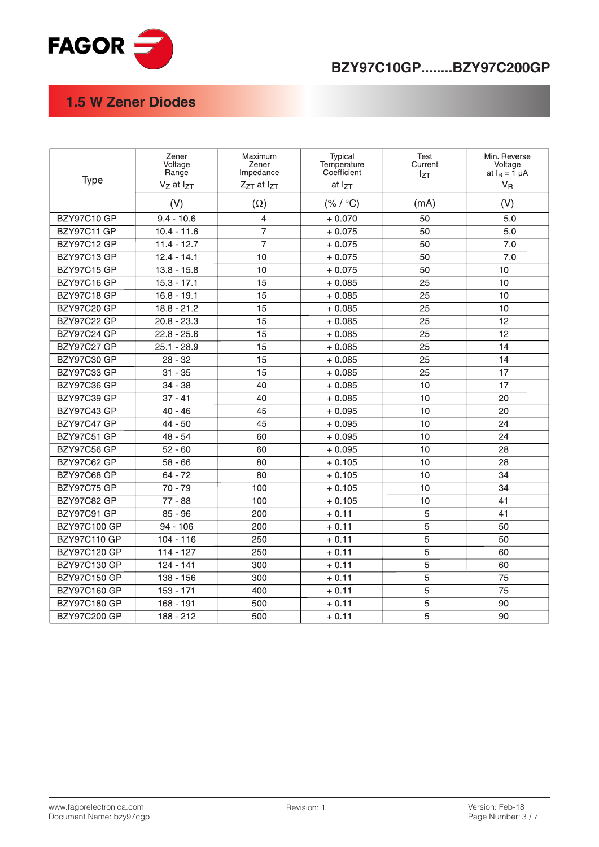

# **BZY97C10GP........BZY97C200GP**

# **1.5 W Zener Diodes**

| Type                | Zener<br>Voltage<br>Range<br>Vz at IzT | Maximum<br>Zener<br>Impedance<br>$Z_{ZT}$ at $I_{ZT}$ | Typical<br>Temperature<br>Coefficient<br>at I <sub>ZT</sub> | <b>Test</b><br>Current<br>$I_{ZT}$ | Min. Reverse<br>Voltage<br>at $I_R = \overline{1} \mu A$<br>$V_R$ |
|---------------------|----------------------------------------|-------------------------------------------------------|-------------------------------------------------------------|------------------------------------|-------------------------------------------------------------------|
|                     | (V)                                    | $(\Omega)$                                            | (% / °C)                                                    | (mA)                               | (V)                                                               |
| <b>BZY97C10 GP</b>  | $9.4 - 10.6$                           | $\overline{4}$                                        | $+0.070$                                                    | 50                                 | 5.0                                                               |
| <b>BZY97C11 GP</b>  | $10.4 - 11.6$                          | $\overline{7}$                                        | $+0.075$                                                    | 50                                 | 5.0                                                               |
| <b>BZY97C12 GP</b>  | $11.4 - 12.7$                          | 7                                                     | $+0.075$                                                    | 50                                 | 7.0                                                               |
| <b>BZY97C13 GP</b>  | $12.4 - 14.1$                          | 10                                                    | $+0.075$                                                    | 50                                 | 7.0                                                               |
| <b>BZY97C15 GP</b>  | $13.8 - 15.8$                          | 10                                                    | $+0.075$                                                    | 50                                 | 10                                                                |
| BZY97C16 GP         | $15.3 - 17.1$                          | $\overline{15}$                                       | $+0.085$                                                    | 25                                 | 10                                                                |
| <b>BZY97C18 GP</b>  | $16.8 - 19.1$                          | 15                                                    | $+0.085$                                                    | 25                                 | 10                                                                |
| <b>BZY97C20 GP</b>  | $18.8 - 21.2$                          | 15                                                    | $+0.085$                                                    | 25                                 | 10                                                                |
| <b>BZY97C22 GP</b>  | $20.8 - 23.3$                          | $\overline{15}$                                       | $+0.085$                                                    | 25                                 | $\overline{12}$                                                   |
| <b>BZY97C24 GP</b>  | $22.8 - 25.6$                          | 15                                                    | $+0.085$                                                    | 25                                 | 12                                                                |
| <b>BZY97C27 GP</b>  | $25.1 - 28.9$                          | 15                                                    | $+0.085$                                                    | 25                                 | 14                                                                |
| <b>BZY97C30 GP</b>  | $28 - 32$                              | $\overline{15}$                                       | $+0.085$                                                    | 25                                 | 14                                                                |
| <b>BZY97C33 GP</b>  | $31 - 35$                              | 15                                                    | $+0.085$                                                    | 25                                 | 17                                                                |
| <b>BZY97C36 GP</b>  | $34 - 38$                              | 40                                                    | $+0.085$                                                    | 10                                 | 17                                                                |
| <b>BZY97C39 GP</b>  | $37 - 41$                              | 40                                                    | $+0.085$                                                    | 10                                 | 20                                                                |
| BZY97C43 GP         | $40 - 46$                              | 45                                                    | $+0.095$                                                    | 10                                 | 20                                                                |
| <b>BZY97C47 GP</b>  | $44 - 50$                              | 45                                                    | $+0.095$                                                    | 10                                 | 24                                                                |
| <b>BZY97C51 GP</b>  | $48 - 54$                              | 60                                                    | $+0.095$                                                    | 10                                 | 24                                                                |
| <b>BZY97C56 GP</b>  | $52 - 60$                              | 60                                                    | $+0.095$                                                    | 10                                 | 28                                                                |
| <b>BZY97C62 GP</b>  | $58 - 66$                              | 80                                                    | $+0.105$                                                    | 10                                 | 28                                                                |
| <b>BZY97C68 GP</b>  | $64 - 72$                              | 80                                                    | $+0.105$                                                    | 10                                 | 34                                                                |
| <b>BZY97C75 GP</b>  | $70 - 79$                              | 100                                                   | $+0.105$                                                    | 10                                 | 34                                                                |
| <b>BZY97C82 GP</b>  | 77 - 88                                | 100                                                   | $+0.105$                                                    | 10                                 | 41                                                                |
| BZY97C91 GP         | $85 - 96$                              | 200                                                   | $+0.11$                                                     | 5                                  | 41                                                                |
| <b>BZY97C100 GP</b> | $94 - 106$                             | 200                                                   | $+0.11$                                                     | 5                                  | 50                                                                |
| <b>BZY97C110 GP</b> | $104 - 116$                            | 250                                                   | $+0.11$                                                     | 5                                  | 50                                                                |
| BZY97C120 GP        | $114 - 127$                            | 250                                                   | $+0.11$                                                     | 5                                  | 60                                                                |
| <b>BZY97C130 GP</b> | $124 - 141$                            | 300                                                   | $+0.11$                                                     | 5                                  | 60                                                                |
| BZY97C150 GP        | $138 - 156$                            | 300                                                   | $+0.11$                                                     | 5                                  | 75                                                                |
| BZY97C160 GP        | $153 - 171$                            | 400                                                   | $+0.11$                                                     | 5                                  | 75                                                                |
| <b>BZY97C180 GP</b> | 168 - 191                              | 500                                                   | $+0.11$                                                     | 5                                  | 90                                                                |
| <b>BZY97C200 GP</b> | 188 - 212                              | 500                                                   | $+0.11$                                                     | 5                                  | 90                                                                |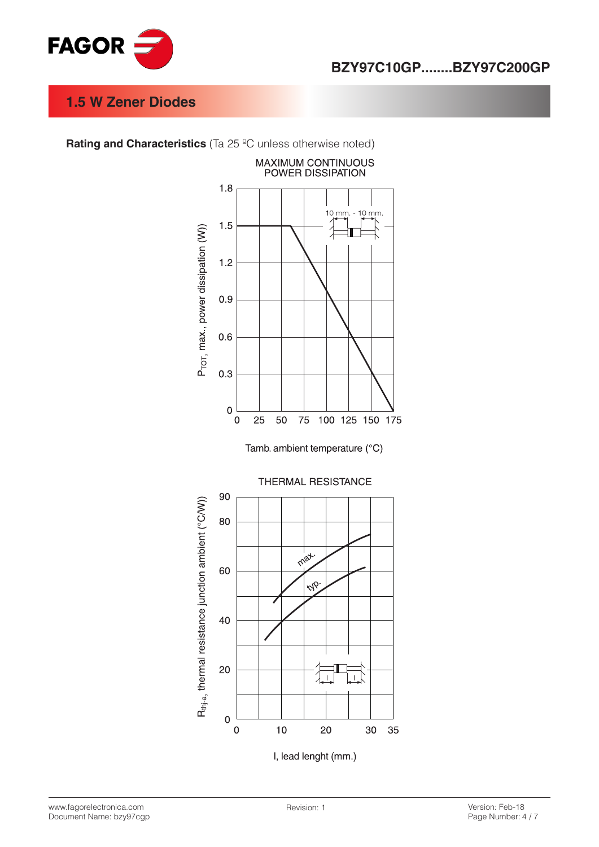

**Rating and Characteristics** (Ta 25 °C unless otherwise noted)



Tamb. ambient temperature (°C)



www.fagorelectronica.com Document Name: bzy97cgp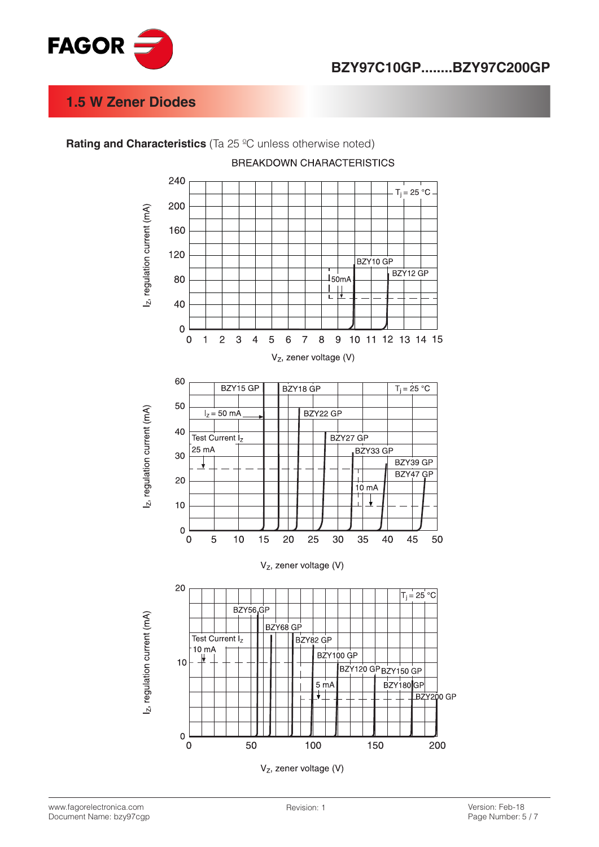



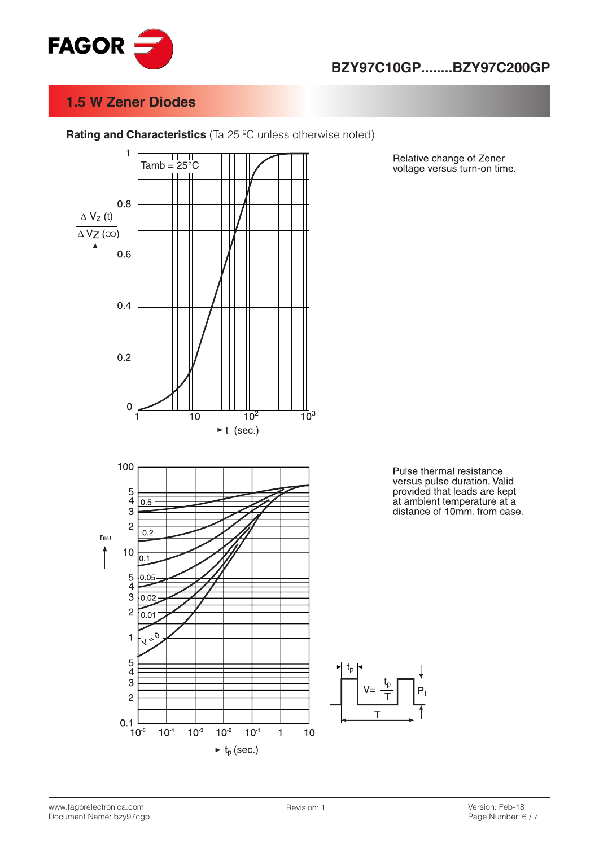



**Rating and Characteristics** (Ta 25 °C unless otherwise noted)

Pulse thermal resistance versus pulse duration. Valid provided that leads are kept at ambient temperature at a distance of 10mm. from case.